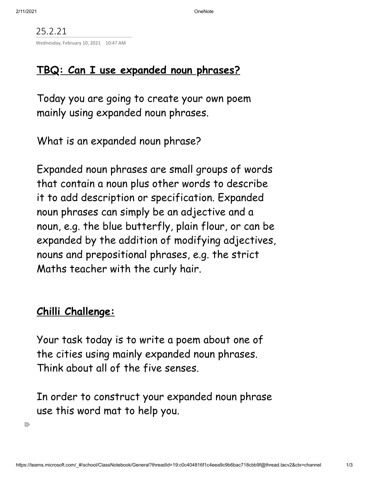25.2.21 Wednesday, February 10, 2021 10:47 AM

## **TBQ: Can I use expanded noun phrases?**

Today you are going to create your own poem mainly using expanded noun phrases.

What is an expanded noun phrase?

Expanded noun phrases are small groups of words that contain a noun plus other words to describe it to add description or specification. Expanded noun phrases can simply be an adjective and a noun, e.g. the blue butterfly, plain flour, or can be expanded by the addition of modifying adjectives, nouns and prepositional phrases, e.g. the strict Maths teacher with the curly hair.

## **Chilli Challenge:**

Your task today is to write a poem about one of the cities using mainly expanded noun phrases. Think about all of the five senses.

In order to construct your expanded noun phrase use this word mat to help you.

 $\supset$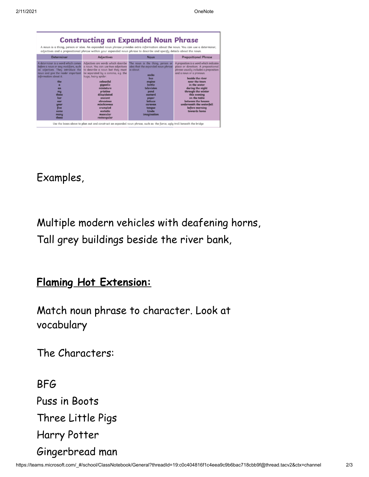| <b>Constructing an Expanded Noun Phrase</b><br>A noun is a thing, person or idea. An expanded noun phrase provides extra information about the noun. You can use a determiner,<br>adjectives and a prepositional phrase within your expanded noun phrase to describe and specify details about the noun. |                                                                                                                                                                                                                                                                                                                                      |                                                                                                                                                                                                                                         |                                                                                                                                                                                                                                                                                                                                                                        |
|----------------------------------------------------------------------------------------------------------------------------------------------------------------------------------------------------------------------------------------------------------------------------------------------------------|--------------------------------------------------------------------------------------------------------------------------------------------------------------------------------------------------------------------------------------------------------------------------------------------------------------------------------------|-----------------------------------------------------------------------------------------------------------------------------------------------------------------------------------------------------------------------------------------|------------------------------------------------------------------------------------------------------------------------------------------------------------------------------------------------------------------------------------------------------------------------------------------------------------------------------------------------------------------------|
| Determiner                                                                                                                                                                                                                                                                                               | Adjectives                                                                                                                                                                                                                                                                                                                           | <b>Noun</b>                                                                                                                                                                                                                             | <b>Prepositional Phrase</b>                                                                                                                                                                                                                                                                                                                                            |
| A determiner is a word which comes<br>before a noun or any modifiers, such<br>as adjectives. They introduce the<br>noun and give the reader important<br>information about it.<br>the<br>$\overline{a}$<br>an<br>mu<br>these<br>her<br>our<br>your<br>five<br>some<br>many<br>those                      | Adjectives are words which describe<br>a noun. You can use two adjectives<br>to describe a noun but they must<br>be separated by a comma, e.g. the<br>huge, hairy spider.<br>colourful<br>gigantic<br>miniature<br>pristine<br>dilapidated<br>ancient<br>obnoxious<br>mischievous<br>crumpled<br>ecstatic<br>muscular<br>rectangular | The noun is the thing, person or<br>idea that the expanded noun phrase<br>is about.<br>socks<br><b>bus</b><br>engine<br>bottle<br>television<br>pond<br>custard<br>paper<br>lettuce<br>caravan<br>tonque<br>Linda<br><b>imagination</b> | A preposition is a word which indicates<br>place or direction. A prepositional<br>phrase usually includes a preposition<br>and a noun or a pronoun.<br>beside the river<br>near the town<br>in the water<br>during the night<br>through the winter<br>this evening<br>on the table<br>between the houses<br>underneath the waterfall<br>before morning<br>towards home |

Examples,

Multiple modern vehicles with deafening horns, Tall grey buildings beside the river bank,

## **Flaming Hot Extension:**

Match noun phrase to character. Look at vocabulary

The Characters:

BFG Puss in Boots Three Little Pigs Harry Potter Gingerbread man